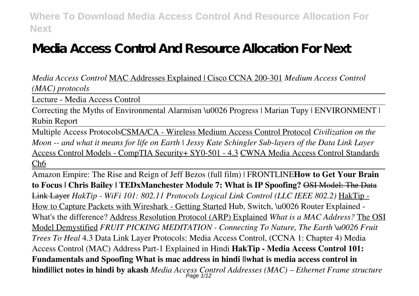# **Media Access Control And Resource Allocation For Next**

*Media Access Control* MAC Addresses Explained | Cisco CCNA 200-301 *Medium Access Control (MAC) protocols*

Lecture - Media Access Control

Correcting the Myths of Environmental Alarmism \u0026 Progress | Marian Tupy | ENVIRONMENT | Rubin Report

Multiple Access ProtocolsCSMA/CA - Wireless Medium Access Control Protocol *Civilization on the Moon -- and what it means for life on Earth | Jessy Kate Schingler Sub-layers of the Data Link Layer* Access Control Models - CompTIA Security+ SY0-501 - 4.3 CWNA Media Access Control Standards Ch6

Amazon Empire: The Rise and Reign of Jeff Bezos (full film) | FRONTLINE**How to Get Your Brain to Focus | Chris Bailey | TEDxManchester Module 7: What is IP Spoofing?** OSI Model: The Data Link Layer *HakTip - WiFi 101: 802.11 Protocols Logical Link Control (LLC IEEE 802.2)* HakTip - How to Capture Packets with Wireshark - Getting Started Hub, Switch, \u0026 Router Explained - What's the difference? Address Resolution Protocol (ARP) Explained *What is a MAC Address?* The OSI Model Demystified *FRUIT PICKING MEDITATION - Connecting To Nature, The Earth \u0026 Fruit Trees To Heal* 4.3 Data Link Layer Protocols: Media Access Control, (CCNA 1: Chapter 4) Media Access Control (MAC) Address Part-1 Explained in Hindi **HakTip - Media Access Control 101: Fundamentals and Spoofing What is mac address in hindi ||what is media access control in hindi||ict notes in hindi by akash** *Media Access Control Addresses (MAC) – Ethernet Frame structure* Page 1/12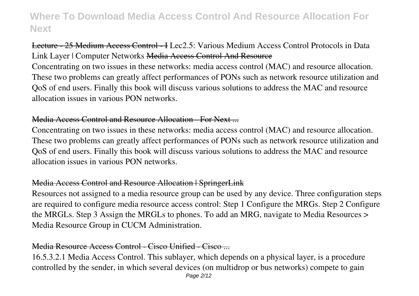# Lecture - 25 Medium Access Control - I Lec2.5: Various Medium Access Control Protocols in Data Link Layer | Computer Networks Media Access Control And Resource

Concentrating on two issues in these networks: media access control (MAC) and resource allocation. These two problems can greatly affect performances of PONs such as network resource utilization and QoS of end users. Finally this book will discuss various solutions to address the MAC and resource allocation issues in various PON networks.

### Media Access Control and Resource Allocation - For Next ...

Concentrating on two issues in these networks: media access control (MAC) and resource allocation. These two problems can greatly affect performances of PONs such as network resource utilization and QoS of end users. Finally this book will discuss various solutions to address the MAC and resource allocation issues in various PON networks.

### Media Access Control and Resource Allocation | SpringerLink

Resources not assigned to a media resource group can be used by any device. Three configuration steps are required to configure media resource access control: Step 1 Configure the MRGs. Step 2 Configure the MRGLs. Step 3 Assign the MRGLs to phones. To add an MRG, navigate to Media Resources > Media Resource Group in CUCM Administration.

# Media Resource Access Control - Cisco Unified - Cisco ...

16.5.3.2.1 Media Access Control. This sublayer, which depends on a physical layer, is a procedure controlled by the sender, in which several devices (on multidrop or bus networks) compete to gain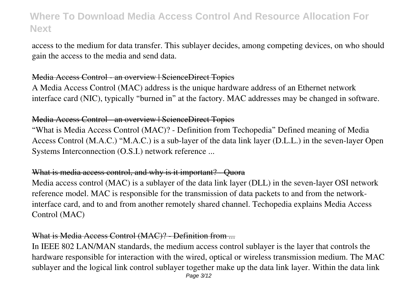access to the medium for data transfer. This sublayer decides, among competing devices, on who should gain the access to the media and send data.

### Media Access Control - an overview | ScienceDirect Topics

A Media Access Control (MAC) address is the unique hardware address of an Ethernet network interface card (NIC), typically "burned in" at the factory. MAC addresses may be changed in software.

### Media Access Control - an overview | ScienceDirect Topics

"What is Media Access Control (MAC)? - Definition from Techopedia" Defined meaning of Media Access Control (M.A.C.) "M.A.C.) is a sub-layer of the data link layer (D.L.L.) in the seven-layer Open Systems Interconnection (O.S.I.) network reference ...

#### What is media access control, and why is it important? - Ouora

Media access control (MAC) is a sublayer of the data link layer (DLL) in the seven-layer OSI network reference model. MAC is responsible for the transmission of data packets to and from the networkinterface card, and to and from another remotely shared channel. Techopedia explains Media Access Control (MAC)

### What is Media Access Control (MAC)? - Definition from ...

In IEEE 802 LAN/MAN standards, the medium access control sublayer is the layer that controls the hardware responsible for interaction with the wired, optical or wireless transmission medium. The MAC sublayer and the logical link control sublayer together make up the data link layer. Within the data link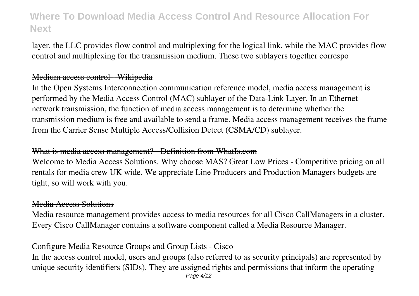layer, the LLC provides flow control and multiplexing for the logical link, while the MAC provides flow control and multiplexing for the transmission medium. These two sublayers together correspo

### Medium access control - Wikipedia

In the Open Systems Interconnection communication reference model, media access management is performed by the Media Access Control (MAC) sublayer of the Data-Link Layer. In an Ethernet network transmission, the function of media access management is to determine whether the transmission medium is free and available to send a frame. Media access management receives the frame from the Carrier Sense Multiple Access/Collision Detect (CSMA/CD) sublayer.

### What is media access management? - Definition from WhatIs.com

Welcome to Media Access Solutions. Why choose MAS? Great Low Prices - Competitive pricing on all rentals for media crew UK wide. We appreciate Line Producers and Production Managers budgets are tight, so will work with you.

#### Media Access Solutions

Media resource management provides access to media resources for all Cisco CallManagers in a cluster. Every Cisco CallManager contains a software component called a Media Resource Manager.

### Configure Media Resource Groups and Group Lists - Cisco

In the access control model, users and groups (also referred to as security principals) are represented by unique security identifiers (SIDs). They are assigned rights and permissions that inform the operating Page 4/12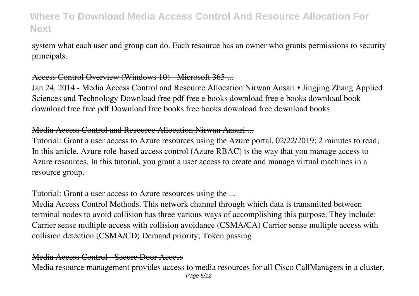system what each user and group can do. Each resource has an owner who grants permissions to security principals.

### Access Control Overview (Windows 10) - Microsoft 365 ...

Jan 24, 2014 - Media Access Control and Resource Allocation Nirwan Ansari • Jingjing Zhang Applied Sciences and Technology Download free pdf free e books download free e books download book download free free pdf Download free books free books download free download books

## Media Access Control and Resource Allocation Nirwan Ansari ...

Tutorial: Grant a user access to Azure resources using the Azure portal. 02/22/2019; 2 minutes to read; In this article. Azure role-based access control (Azure RBAC) is the way that you manage access to Azure resources. In this tutorial, you grant a user access to create and manage virtual machines in a resource group.

### Tutorial: Grant a user access to Azure resources using the ...

Media Access Control Methods. This network channel through which data is transmitted between terminal nodes to avoid collision has three various ways of accomplishing this purpose. They include: Carrier sense multiple access with collision avoidance (CSMA/CA) Carrier sense multiple access with collision detection (CSMA/CD) Demand priority; Token passing

### Media Access Control - Secure Door Access

Media resource management provides access to media resources for all Cisco CallManagers in a cluster. Page 5/12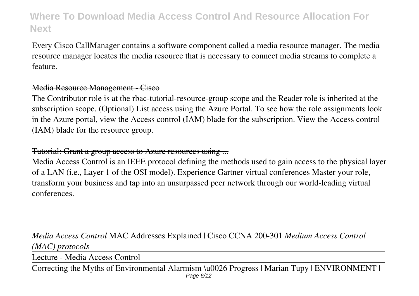Every Cisco CallManager contains a software component called a media resource manager. The media resource manager locates the media resource that is necessary to connect media streams to complete a feature.

#### Media Resource Management - Cisco

The Contributor role is at the rbac-tutorial-resource-group scope and the Reader role is inherited at the subscription scope. (Optional) List access using the Azure Portal. To see how the role assignments look in the Azure portal, view the Access control (IAM) blade for the subscription. View the Access control (IAM) blade for the resource group.

## Tutorial: Grant a group access to Azure resources using ...

Media Access Control is an IEEE protocol defining the methods used to gain access to the physical layer of a LAN (i.e., Layer 1 of the OSI model). Experience Gartner virtual conferences Master your role, transform your business and tap into an unsurpassed peer network through our world-leading virtual conferences.

# *Media Access Control* MAC Addresses Explained | Cisco CCNA 200-301 *Medium Access Control (MAC) protocols*

Lecture - Media Access Control

Correcting the Myths of Environmental Alarmism \u0026 Progress | Marian Tupy | ENVIRONMENT | Page 6/12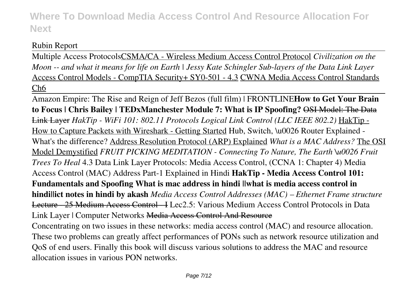# Rubin Report

Multiple Access ProtocolsCSMA/CA - Wireless Medium Access Control Protocol *Civilization on the Moon -- and what it means for life on Earth | Jessy Kate Schingler Sub-layers of the Data Link Layer* Access Control Models - CompTIA Security+ SY0-501 - 4.3 CWNA Media Access Control Standards Ch6

Amazon Empire: The Rise and Reign of Jeff Bezos (full film) | FRONTLINE**How to Get Your Brain to Focus | Chris Bailey | TEDxManchester Module 7: What is IP Spoofing?** OSI Model: The Data Link Layer *HakTip - WiFi 101: 802.11 Protocols Logical Link Control (LLC IEEE 802.2)* HakTip - How to Capture Packets with Wireshark - Getting Started Hub, Switch, \u0026 Router Explained - What's the difference? Address Resolution Protocol (ARP) Explained *What is a MAC Address?* The OSI Model Demystified *FRUIT PICKING MEDITATION - Connecting To Nature, The Earth \u0026 Fruit Trees To Heal* 4.3 Data Link Layer Protocols: Media Access Control, (CCNA 1: Chapter 4) Media Access Control (MAC) Address Part-1 Explained in Hindi **HakTip - Media Access Control 101: Fundamentals and Spoofing What is mac address in hindi ||what is media access control in hindi||ict notes in hindi by akash** *Media Access Control Addresses (MAC) – Ethernet Frame structure* Lecture - 25 Medium Access Control - I Lec2.5: Various Medium Access Control Protocols in Data Link Layer | Computer Networks Media Access Control And Resource Concentrating on two issues in these networks: media access control (MAC) and resource allocation. These two problems can greatly affect performances of PONs such as network resource utilization and QoS of end users. Finally this book will discuss various solutions to address the MAC and resource allocation issues in various PON networks.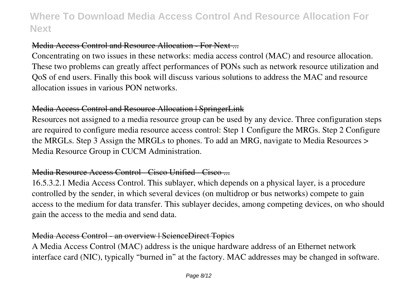### Media Access Control and Resource Allocation - For Next ...

Concentrating on two issues in these networks: media access control (MAC) and resource allocation. These two problems can greatly affect performances of PONs such as network resource utilization and QoS of end users. Finally this book will discuss various solutions to address the MAC and resource allocation issues in various PON networks.

### Media Access Control and Resource Allocation | SpringerLink

Resources not assigned to a media resource group can be used by any device. Three configuration steps are required to configure media resource access control: Step 1 Configure the MRGs. Step 2 Configure the MRGLs. Step 3 Assign the MRGLs to phones. To add an MRG, navigate to Media Resources > Media Resource Group in CUCM Administration.

### Media Resource Access Control - Cisco Unified - Cisco ...

16.5.3.2.1 Media Access Control. This sublayer, which depends on a physical layer, is a procedure controlled by the sender, in which several devices (on multidrop or bus networks) compete to gain access to the medium for data transfer. This sublayer decides, among competing devices, on who should gain the access to the media and send data.

### Media Access Control - an overview | ScienceDirect Topics

A Media Access Control (MAC) address is the unique hardware address of an Ethernet network interface card (NIC), typically "burned in" at the factory. MAC addresses may be changed in software.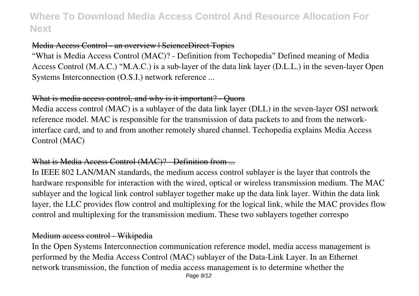### Media Access Control - an overview | ScienceDirect Topics

"What is Media Access Control (MAC)? - Definition from Techopedia" Defined meaning of Media Access Control (M.A.C.) "M.A.C.) is a sub-layer of the data link layer (D.L.L.) in the seven-layer Open Systems Interconnection (O.S.I.) network reference ...

### What is media access control, and why is it important? - Ouora

Media access control (MAC) is a sublayer of the data link layer (DLL) in the seven-layer OSI network reference model. MAC is responsible for the transmission of data packets to and from the networkinterface card, and to and from another remotely shared channel. Techopedia explains Media Access Control (MAC)

### What is Media Access Control (MAC)? - Definition from ...

In IEEE 802 LAN/MAN standards, the medium access control sublayer is the layer that controls the hardware responsible for interaction with the wired, optical or wireless transmission medium. The MAC sublayer and the logical link control sublayer together make up the data link layer. Within the data link layer, the LLC provides flow control and multiplexing for the logical link, while the MAC provides flow control and multiplexing for the transmission medium. These two sublayers together correspo

### Medium access control - Wikipedia

In the Open Systems Interconnection communication reference model, media access management is performed by the Media Access Control (MAC) sublayer of the Data-Link Layer. In an Ethernet network transmission, the function of media access management is to determine whether the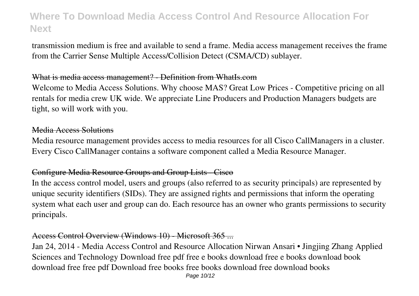transmission medium is free and available to send a frame. Media access management receives the frame from the Carrier Sense Multiple Access/Collision Detect (CSMA/CD) sublayer.

#### What is media access management? - Definition from WhatIs.com

Welcome to Media Access Solutions. Why choose MAS? Great Low Prices - Competitive pricing on all rentals for media crew UK wide. We appreciate Line Producers and Production Managers budgets are tight, so will work with you.

### Media Access Solutions

Media resource management provides access to media resources for all Cisco CallManagers in a cluster. Every Cisco CallManager contains a software component called a Media Resource Manager.

#### Configure Media Resource Groups and Group Lists - Cisco

In the access control model, users and groups (also referred to as security principals) are represented by unique security identifiers (SIDs). They are assigned rights and permissions that inform the operating system what each user and group can do. Each resource has an owner who grants permissions to security principals.

#### Access Control Overview (Windows 10) - Microsoft 365 ...

Jan 24, 2014 - Media Access Control and Resource Allocation Nirwan Ansari • Jingjing Zhang Applied Sciences and Technology Download free pdf free e books download free e books download book download free free pdf Download free books free books download free download books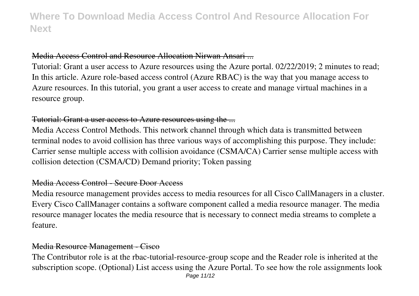### Media Access Control and Resource Allocation Nirwan Ansari ...

Tutorial: Grant a user access to Azure resources using the Azure portal. 02/22/2019; 2 minutes to read; In this article. Azure role-based access control (Azure RBAC) is the way that you manage access to Azure resources. In this tutorial, you grant a user access to create and manage virtual machines in a resource group.

#### Tutorial: Grant a user access to Azure resources using the ...

Media Access Control Methods. This network channel through which data is transmitted between terminal nodes to avoid collision has three various ways of accomplishing this purpose. They include: Carrier sense multiple access with collision avoidance (CSMA/CA) Carrier sense multiple access with collision detection (CSMA/CD) Demand priority; Token passing

#### Media Access Control - Secure Door Access

Media resource management provides access to media resources for all Cisco CallManagers in a cluster. Every Cisco CallManager contains a software component called a media resource manager. The media resource manager locates the media resource that is necessary to connect media streams to complete a feature.

### Media Resource Management - Cisco

The Contributor role is at the rbac-tutorial-resource-group scope and the Reader role is inherited at the subscription scope. (Optional) List access using the Azure Portal. To see how the role assignments look Page 11/12